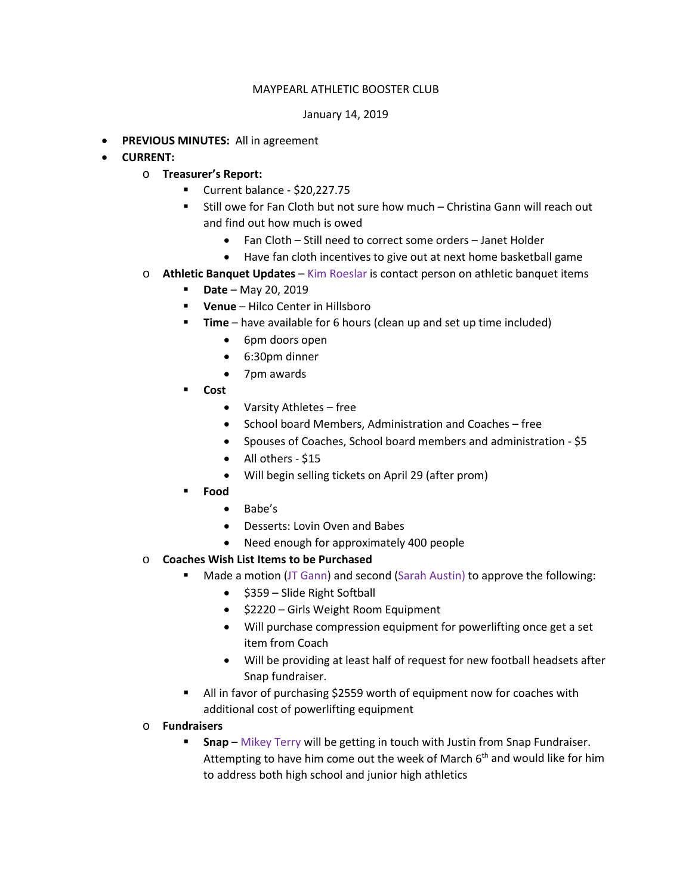## MAYPEARL ATHLETIC BOOSTER CLUB

## January 14, 2019

- **PREVIOUS MINUTES:** All in agreement
- **CURRENT:** 
	- o **Treasurer's Report:**
		- Current balance \$20,227.75
		- Still owe for Fan Cloth but not sure how much Christina Gann will reach out and find out how much is owed
			- Fan Cloth Still need to correct some orders Janet Holder
			- Have fan cloth incentives to give out at next home basketball game
	- o **Athletic Banquet Updates** Kim Roeslar is contact person on athletic banquet items
		- **Date** May 20, 2019
		- **Venue** Hilco Center in Hillsboro
		- **Time** have available for 6 hours (clean up and set up time included)
			- 6pm doors open
			- 6:30pm dinner
			- 7pm awards
		- **Cost**
			- Varsity Athletes free
			- School board Members, Administration and Coaches free
			- Spouses of Coaches, School board members and administration \$5
			- All others \$15
			- Will begin selling tickets on April 29 (after prom)
		- **Food** 
			- Babe's
			- Desserts: Lovin Oven and Babes
			- Need enough for approximately 400 people
	- o **Coaches Wish List Items to be Purchased**
		- **Made a motion (JT Gann) and second (Sarah Austin) to approve the following:** 
			- \$359 Slide Right Softball
			- \$2220 Girls Weight Room Equipment
			- Will purchase compression equipment for powerlifting once get a set item from Coach
			- Will be providing at least half of request for new football headsets after Snap fundraiser.
		- All in favor of purchasing \$2559 worth of equipment now for coaches with additional cost of powerlifting equipment
	- o **Fundraisers** 
		- **Snap** Mikey Terry will be getting in touch with Justin from Snap Fundraiser. Attempting to have him come out the week of March  $6<sup>th</sup>$  and would like for him to address both high school and junior high athletics